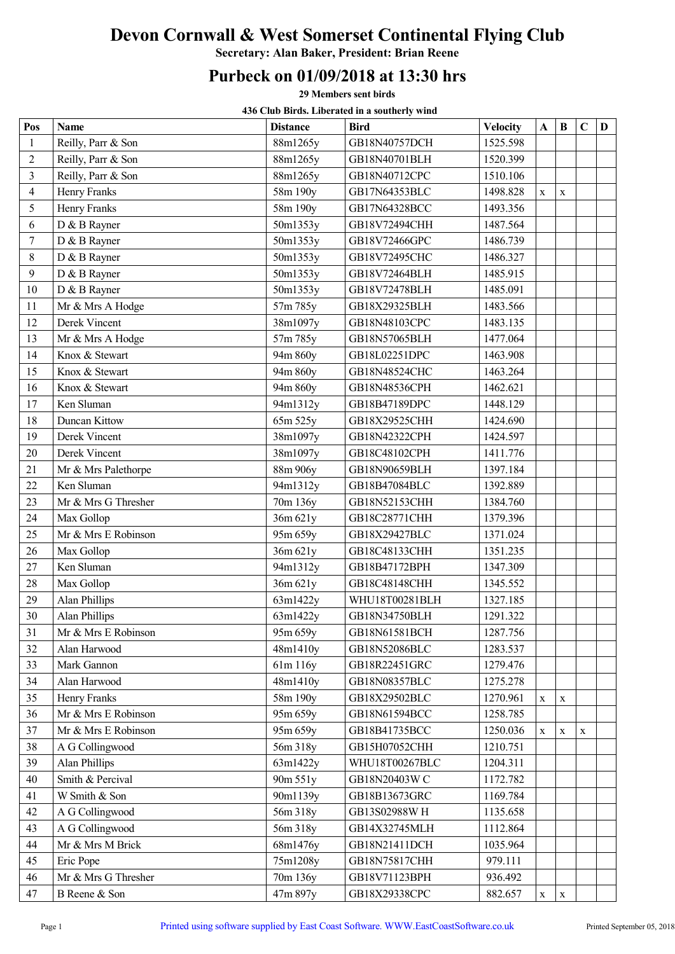## Devon Cornwall & West Somerset Continental Flying Club

Secretary: Alan Baker, President: Brian Reene

## Purbeck on 01/09/2018 at 13:30 hrs

29 Members sent birds

436 Club Birds. Liberated in a southerly wind

| Pos                      | <b>Name</b>          | <b>Distance</b> | <b>Bird</b>          | <b>Velocity</b> | $\mathbf{A}$ | B | $\mathbf C$ | D |
|--------------------------|----------------------|-----------------|----------------------|-----------------|--------------|---|-------------|---|
| $\mathbf{1}$             | Reilly, Parr & Son   | 88m1265y        | GB18N40757DCH        | 1525.598        |              |   |             |   |
| $\overline{2}$           | Reilly, Parr & Son   | 88m1265y        | GB18N40701BLH        | 1520.399        |              |   |             |   |
| 3                        | Reilly, Parr & Son   | 88m1265y        | GB18N40712CPC        | 1510.106        |              |   |             |   |
| $\overline{\mathcal{L}}$ | Henry Franks         | 58m 190y        | GB17N64353BLC        | 1498.828        | X            | X |             |   |
| 5                        | Henry Franks         | 58m 190y        | GB17N64328BCC        | 1493.356        |              |   |             |   |
| 6                        | D & B Rayner         | 50m1353y        | GB18V72494CHH        | 1487.564        |              |   |             |   |
| $\tau$                   | D & B Rayner         | 50m1353y        | GB18V72466GPC        | 1486.739        |              |   |             |   |
| 8                        | D & B Rayner         | 50m1353y        | GB18V72495CHC        | 1486.327        |              |   |             |   |
| 9                        | D & B Rayner         | 50m1353y        | GB18V72464BLH        | 1485.915        |              |   |             |   |
| 10                       | D & B Rayner         | 50m1353y        | GB18V72478BLH        | 1485.091        |              |   |             |   |
| 11                       | Mr & Mrs A Hodge     | 57m 785y        | GB18X29325BLH        | 1483.566        |              |   |             |   |
| 12                       | Derek Vincent        | 38m1097y        | GB18N48103CPC        | 1483.135        |              |   |             |   |
| 13                       | Mr & Mrs A Hodge     | 57m 785y        | GB18N57065BLH        | 1477.064        |              |   |             |   |
| 14                       | Knox & Stewart       | 94m 860y        | GB18L02251DPC        | 1463.908        |              |   |             |   |
| 15                       | Knox & Stewart       | 94m 860y        | GB18N48524CHC        | 1463.264        |              |   |             |   |
| 16                       | Knox & Stewart       | 94m 860y        | GB18N48536CPH        | 1462.621        |              |   |             |   |
| 17                       | Ken Sluman           | 94m1312y        | GB18B47189DPC        | 1448.129        |              |   |             |   |
| 18                       | Duncan Kittow        | 65m 525y        | GB18X29525CHH        | 1424.690        |              |   |             |   |
| 19                       | Derek Vincent        | 38m1097y        | GB18N42322CPH        | 1424.597        |              |   |             |   |
| 20                       | Derek Vincent        | 38m1097y        | GB18C48102CPH        | 1411.776        |              |   |             |   |
| 21                       | Mr & Mrs Palethorpe  | 88m 906y        | GB18N90659BLH        | 1397.184        |              |   |             |   |
| 22                       | Ken Sluman           | 94m1312y        | GB18B47084BLC        | 1392.889        |              |   |             |   |
| 23                       | Mr & Mrs G Thresher  | 70m 136y        | GB18N52153CHH        | 1384.760        |              |   |             |   |
| 24                       | Max Gollop           | 36m 621y        | GB18C28771CHH        | 1379.396        |              |   |             |   |
| 25                       | Mr & Mrs E Robinson  | 95m 659y        | GB18X29427BLC        | 1371.024        |              |   |             |   |
| 26                       | Max Gollop           | 36m 621y        | GB18C48133CHH        | 1351.235        |              |   |             |   |
| 27                       | Ken Sluman           | 94m1312y        | GB18B47172BPH        | 1347.309        |              |   |             |   |
| 28                       | Max Gollop           | 36m 621y        | GB18C48148CHH        | 1345.552        |              |   |             |   |
| 29                       | <b>Alan Phillips</b> | 63m1422y        | WHU18T00281BLH       | 1327.185        |              |   |             |   |
| 30                       | Alan Phillips        | 63m1422y        | <b>GB18N34750BLH</b> | 1291.322        |              |   |             |   |
| 31                       | Mr & Mrs E Robinson  | 95m 659y        | GB18N61581BCH        | 1287.756        |              |   |             |   |
| 32                       | Alan Harwood         | 48m1410y        | GB18N52086BLC        | 1283.537        |              |   |             |   |
| 33                       | Mark Gannon          | 61m 116y        | GB18R22451GRC        | 1279.476        |              |   |             |   |
| 34                       | Alan Harwood         | 48m1410y        | GB18N08357BLC        | 1275.278        |              |   |             |   |
| 35                       | Henry Franks         | 58m 190y        | GB18X29502BLC        | 1270.961        | X            | X |             |   |
| 36                       | Mr & Mrs E Robinson  | 95m 659y        | GB18N61594BCC        | 1258.785        |              |   |             |   |
| 37                       | Mr & Mrs E Robinson  | 95m 659y        | GB18B41735BCC        | 1250.036        | X            | X | $\mathbf X$ |   |
| 38                       | A G Collingwood      | 56m 318y        | GB15H07052CHH        | 1210.751        |              |   |             |   |
| 39                       | <b>Alan Phillips</b> | 63m1422y        | WHU18T00267BLC       | 1204.311        |              |   |             |   |
| 40                       | Smith & Percival     | 90m 551y        | GB18N20403WC         | 1172.782        |              |   |             |   |
| 41                       | W Smith & Son        | 90ml139y        | GB18B13673GRC        | 1169.784        |              |   |             |   |
| 42                       | A G Collingwood      | 56m 318y        | GB13S02988WH         | 1135.658        |              |   |             |   |
| 43                       | A G Collingwood      | 56m 318y        | GB14X32745MLH        | 1112.864        |              |   |             |   |
| 44                       | Mr & Mrs M Brick     | 68m1476y        | GB18N21411DCH        | 1035.964        |              |   |             |   |
| 45                       | Eric Pope            | 75m1208y        | GB18N75817CHH        | 979.111         |              |   |             |   |
| 46                       | Mr & Mrs G Thresher  | 70m 136y        | GB18V71123BPH        | 936.492         |              |   |             |   |
| 47                       | B Reene & Son        | 47m 897y        | GB18X29338CPC        | 882.657         | X            | X |             |   |